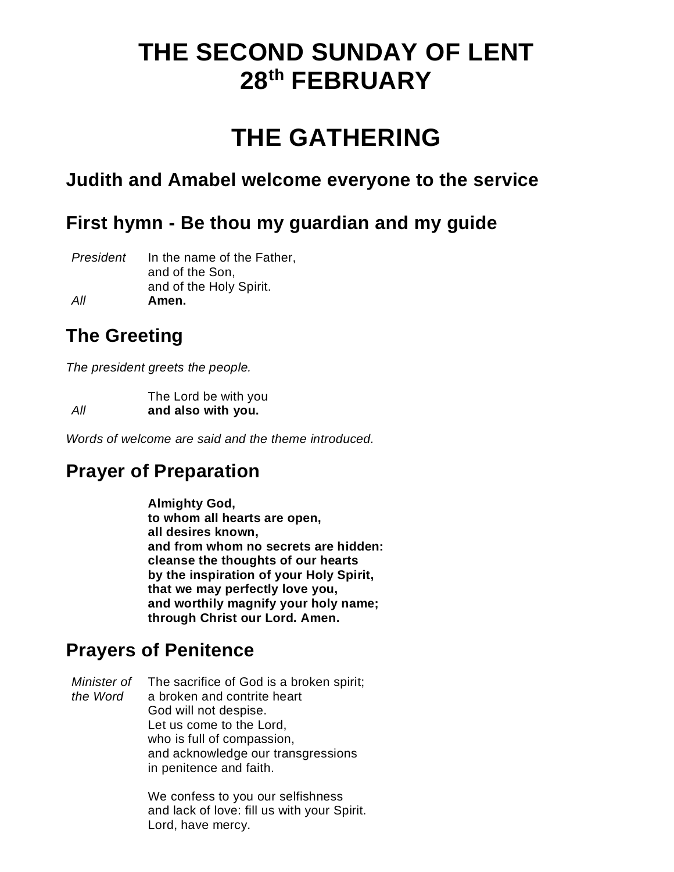# **THE SECOND SUNDAY OF LENT 28th FEBRUARY**

# **THE GATHERING**

### **Judith and Amabel welcome everyone to the service**

### **First hymn - Be thou my guardian and my guide**

*President* In the name of the Father, and of the Son, and of the Holy Spirit. *All* **Amen.**

### **The Greeting**

*The president greets the people.*

The Lord be with you *All* **and also with you.**

*Words of welcome are said and the theme introduced.*

### **Prayer of Preparation**

**Almighty God, to whom all hearts are open, all desires known, and from whom no secrets are hidden: cleanse the thoughts of our hearts by the inspiration of your Holy Spirit, that we may perfectly love you, and worthily magnify your holy name; through Christ our Lord. Amen.**

### **Prayers of Penitence**

*Minister of the Word* The sacrifice of God is a broken spirit; a broken and contrite heart

God will not despise. Let us come to the Lord, who is full of compassion, and acknowledge our transgressions in penitence and faith.

We confess to you our selfishness and lack of love: fill us with your Spirit. Lord, have mercy.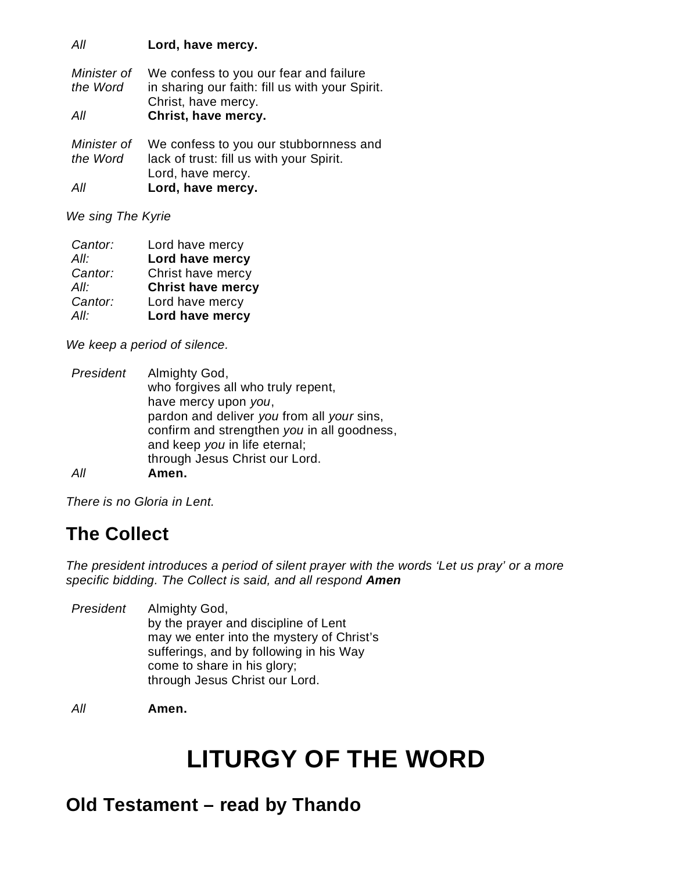#### *All* **Lord, have mercy.**

*Minister of* We confess to you our fear and failure *the Word* in sharing our faith: fill us with your Spirit. Christ, have mercy. *All* **Christ, have mercy.**

*Minister of the Word* We confess to you our stubbornness and lack of trust: fill us with your Spirit. Lord, have mercy. *All* **Lord, have mercy.**

*We sing The Kyrie*

| Cantor: | Lord have mercy          |
|---------|--------------------------|
| All:    | Lord have mercy          |
| Cantor: | Christ have mercy        |
| All:    | <b>Christ have mercy</b> |
| Cantor: | Lord have mercy          |
| All:    | Lord have mercy          |

*We keep a period of silence.*

| President | Almighty God,                               |
|-----------|---------------------------------------------|
|           | who forgives all who truly repent,          |
|           | have mercy upon you,                        |
|           | pardon and deliver you from all your sins,  |
|           | confirm and strengthen you in all goodness, |
|           | and keep you in life eternal;               |
|           | through Jesus Christ our Lord.              |
| All       | Amen.                                       |

*There is no Gloria in Lent.*

# **The Collect**

*The president introduces a period of silent prayer with the words 'Let us pray' or a more specific bidding. The Collect is said, and all respond Amen*

*President* Almighty God, by the prayer and discipline of Lent may we enter into the mystery of Christ's sufferings, and by following in his Way come to share in his glory; through Jesus Christ our Lord.

*All* **Amen.**

# **LITURGY OF THE WORD**

### **Old Testament – read by Thando**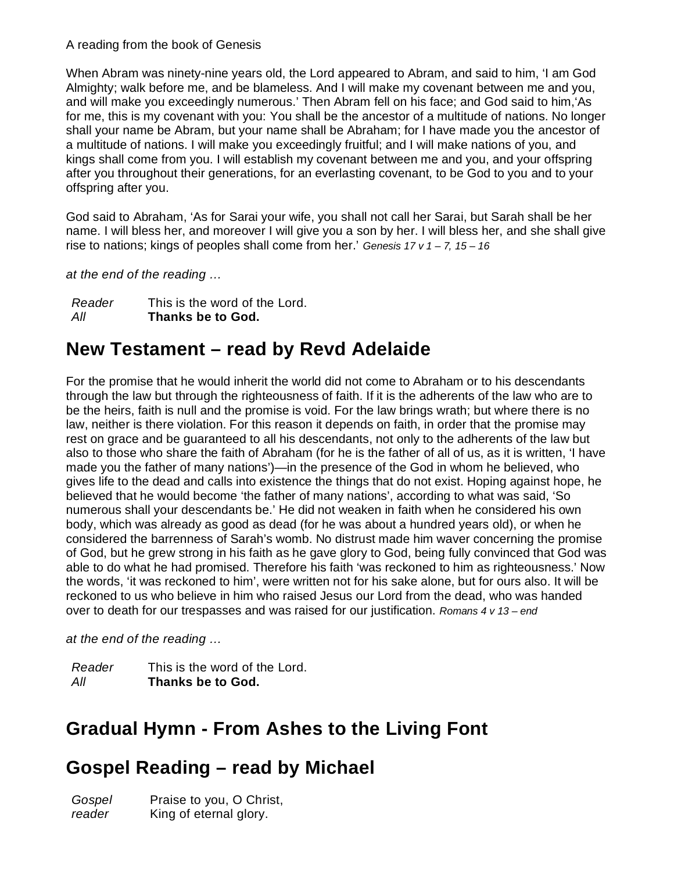#### A reading from the book of Genesis

When Abram was ninety-nine years old, the Lord appeared to Abram, and said to him, 'I am God Almighty; walk before me, and be blameless. And I will make my covenant between me and you, and will make you exceedingly numerous.' Then Abram fell on his face; and God said to him,'As for me, this is my covenant with you: You shall be the ancestor of a multitude of nations. No longer shall your name be Abram, but your name shall be Abraham; for I have made you the ancestor of a multitude of nations. I will make you exceedingly fruitful; and I will make nations of you, and kings shall come from you. I will establish my covenant between me and you, and your offspring after you throughout their generations, for an everlasting covenant, to be God to you and to your offspring after you.

God said to Abraham, 'As for Sarai your wife, you shall not call her Sarai, but Sarah shall be her name. I will bless her, and moreover I will give you a son by her. I will bless her, and she shall give rise to nations; kings of peoples shall come from her.' *Genesis 17 v 1 – 7, 15 – 16*

*at the end of the reading …*

*Reader* This is the word of the Lord. *All* **Thanks be to God.**

### **New Testament – read by Revd Adelaide**

For the promise that he would inherit the world did not come to Abraham or to his descendants through the law but through the righteousness of faith. If it is the adherents of the law who are to be the heirs, faith is null and the promise is void. For the law brings wrath; but where there is no law, neither is there violation. For this reason it depends on faith, in order that the promise may rest on grace and be guaranteed to all his descendants, not only to the adherents of the law but also to those who share the faith of Abraham (for he is the father of all of us, as it is written, 'I have made you the father of many nations')—in the presence of the God in whom he believed, who gives life to the dead and calls into existence the things that do not exist. Hoping against hope, he believed that he would become 'the father of many nations', according to what was said, 'So numerous shall your descendants be.' He did not weaken in faith when he considered his own body, which was already as good as dead (for he was about a hundred years old), or when he considered the barrenness of Sarah's womb. No distrust made him waver concerning the promise of God, but he grew strong in his faith as he gave glory to God, being fully convinced that God was able to do what he had promised. Therefore his faith 'was reckoned to him as righteousness.' Now the words, 'it was reckoned to him', were written not for his sake alone, but for ours also. It will be reckoned to us who believe in him who raised Jesus our Lord from the dead, who was handed over to death for our trespasses and was raised for our justification. *Romans 4 v 13 – end*

*at the end of the reading …*

*Reader* This is the word of the Lord. *All* **Thanks be to God.**

## **Gradual Hymn - From Ashes to the Living Font**

### **Gospel Reading – read by Michael**

*Gospel reader* Praise to you, O Christ, King of eternal glory.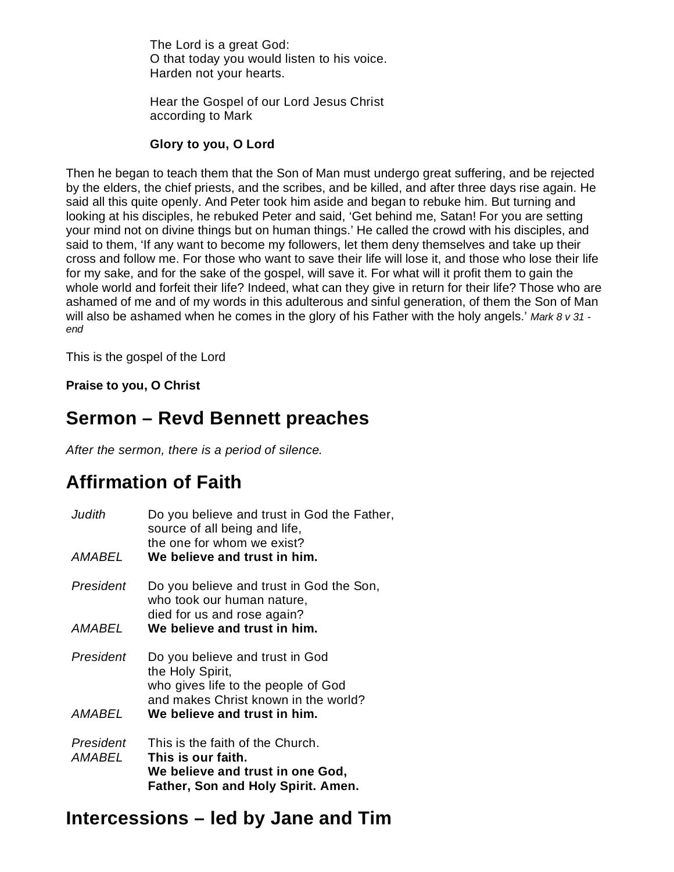The Lord is a great God: O that today you would listen to his voice. Harden not your hearts.

Hear the Gospel of our Lord Jesus Christ according to Mark

#### **Glory to you, O Lord**

Then he began to teach them that the Son of Man must undergo great suffering, and be rejected by the elders, the chief priests, and the scribes, and be killed, and after three days rise again. He said all this quite openly. And Peter took him aside and began to rebuke him. But turning and looking at his disciples, he rebuked Peter and said, 'Get behind me, Satan! For you are setting your mind not on divine things but on human things.' He called the crowd with his disciples, and said to them, 'If any want to become my followers, let them deny themselves and take up their cross and follow me. For those who want to save their life will lose it, and those who lose their life for my sake, and for the sake of the gospel, will save it. For what will it profit them to gain the whole world and forfeit their life? Indeed, what can they give in return for their life? Those who are ashamed of me and of my words in this adulterous and sinful generation, of them the Son of Man will also be ashamed when he comes in the glory of his Father with the holy angels.' *Mark 8 v 31 end*

This is the gospel of the Lord

**Praise to you, O Christ**

### **Sermon – Revd Bennett preaches**

*After the sermon, there is a period of silence.*

# **Affirmation of Faith**

| Judith                     | Do you believe and trust in God the Father,<br>source of all being and life,<br>the one for whom we exist?                         |
|----------------------------|------------------------------------------------------------------------------------------------------------------------------------|
| <i>AMABEL</i>              | We believe and trust in him.                                                                                                       |
| President                  | Do you believe and trust in God the Son,<br>who took our human nature,<br>died for us and rose again?                              |
| <i>AMABEL</i>              | We believe and trust in him.                                                                                                       |
| President                  | Do you believe and trust in God<br>the Holy Spirit,<br>who gives life to the people of God<br>and makes Christ known in the world? |
| <i>AMABEL</i>              | We believe and trust in him.                                                                                                       |
| President<br><b>AMABEL</b> | This is the faith of the Church.<br>This is our faith.<br>We believe and trust in one God,<br>Father, Son and Holy Spirit. Amen.   |

### **Intercessions – led by Jane and Tim**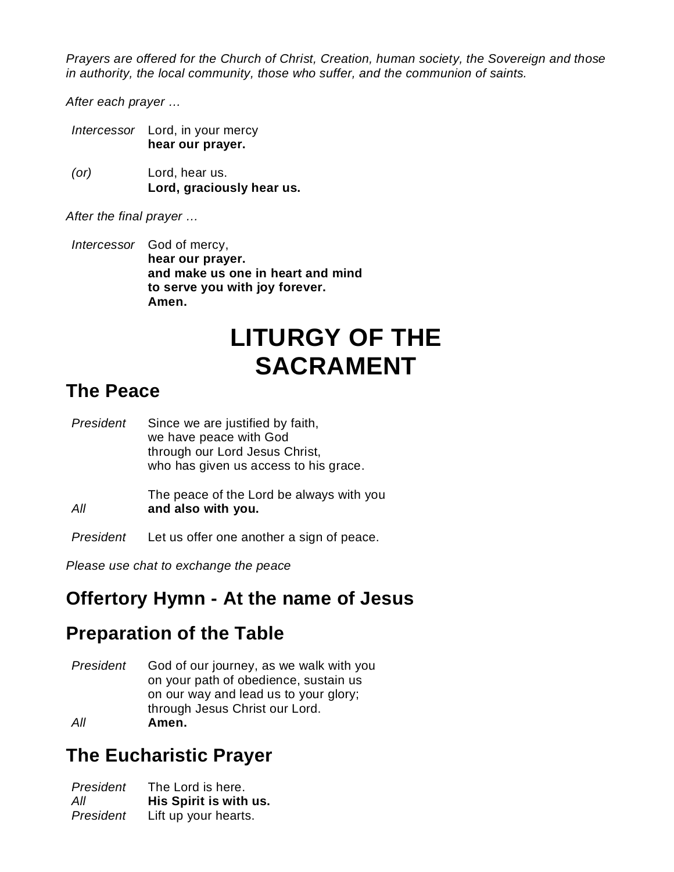*Prayers are offered for the Church of Christ, Creation, human society, the Sovereign and those in authority, the local community, those who suffer, and the communion of saints.*

*After each prayer …*

- *Intercessor* Lord, in your mercy **hear our prayer.**
- *(or)* Lord, hear us. **Lord, graciously hear us.**

*After the final prayer …*

*Intercessor* God of mercy, **hear our prayer. and make us one in heart and mind to serve you with joy forever. Amen.**

# **LITURGY OF THE SACRAMENT**

### **The Peace**

| President | Since we are justified by faith,<br>we have peace with God<br>through our Lord Jesus Christ,<br>who has given us access to his grace. |
|-----------|---------------------------------------------------------------------------------------------------------------------------------------|
| All       | The peace of the Lord be always with you<br>and also with you.                                                                        |

*President* Let us offer one another a sign of peace.

*Please use chat to exchange the peace*

#### **Offertory Hymn - At the name of Jesus**

#### **Preparation of the Table**

*President* God of our journey, as we walk with you on your path of obedience, sustain us on our way and lead us to your glory; through Jesus Christ our Lord. *All* **Amen.**

## **The Eucharistic Prayer**

*President* The Lord is here. *All* **His Spirit is with us.** *President* Lift up your hearts.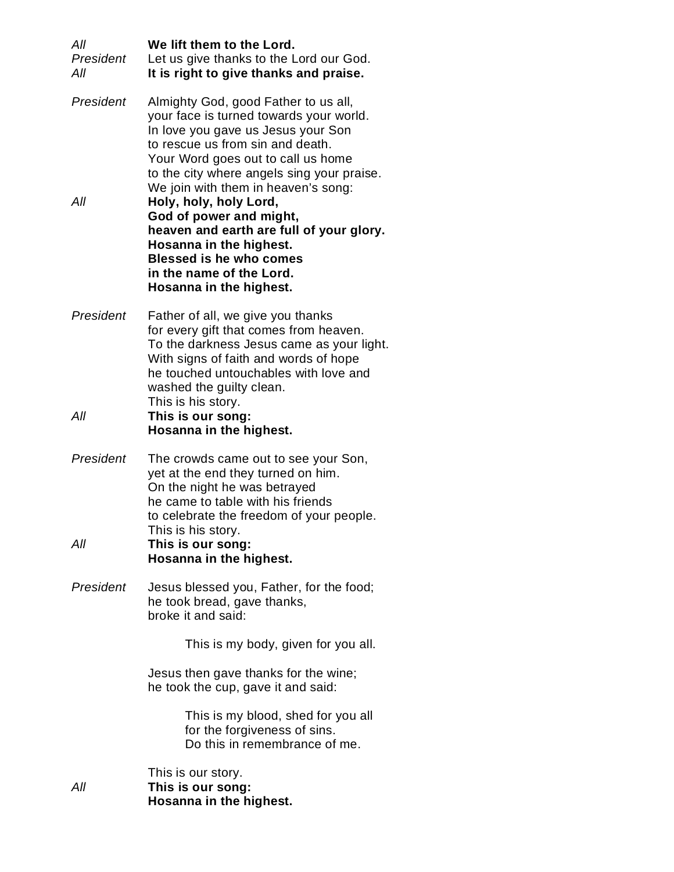| All<br>President<br>All | We lift them to the Lord.<br>Let us give thanks to the Lord our God.<br>It is right to give thanks and praise.                                                                                                                                                                                                                                                                                                                                                                                            |
|-------------------------|-----------------------------------------------------------------------------------------------------------------------------------------------------------------------------------------------------------------------------------------------------------------------------------------------------------------------------------------------------------------------------------------------------------------------------------------------------------------------------------------------------------|
| President<br>All        | Almighty God, good Father to us all,<br>your face is turned towards your world.<br>In love you gave us Jesus your Son<br>to rescue us from sin and death.<br>Your Word goes out to call us home<br>to the city where angels sing your praise.<br>We join with them in heaven's song:<br>Holy, holy, holy Lord,<br>God of power and might,<br>heaven and earth are full of your glory.<br>Hosanna in the highest.<br><b>Blessed is he who comes</b><br>in the name of the Lord.<br>Hosanna in the highest. |
| President<br>All        | Father of all, we give you thanks<br>for every gift that comes from heaven.<br>To the darkness Jesus came as your light.<br>With signs of faith and words of hope<br>he touched untouchables with love and<br>washed the guilty clean.<br>This is his story.<br>This is our song:<br>Hosanna in the highest.                                                                                                                                                                                              |
| President<br>All        | The crowds came out to see your Son,<br>yet at the end they turned on him.<br>On the night he was betrayed<br>he came to table with his friends<br>to celebrate the freedom of your people.<br>This is his story.<br>This is our song:<br>Hosanna in the highest.                                                                                                                                                                                                                                         |
| President               | Jesus blessed you, Father, for the food;<br>he took bread, gave thanks,<br>broke it and said:<br>This is my body, given for you all.<br>Jesus then gave thanks for the wine;<br>he took the cup, gave it and said:<br>This is my blood, shed for you all<br>for the forgiveness of sins.<br>Do this in remembrance of me.                                                                                                                                                                                 |
| All                     | This is our story.<br>This is our song:<br>Hosanna in the highest.                                                                                                                                                                                                                                                                                                                                                                                                                                        |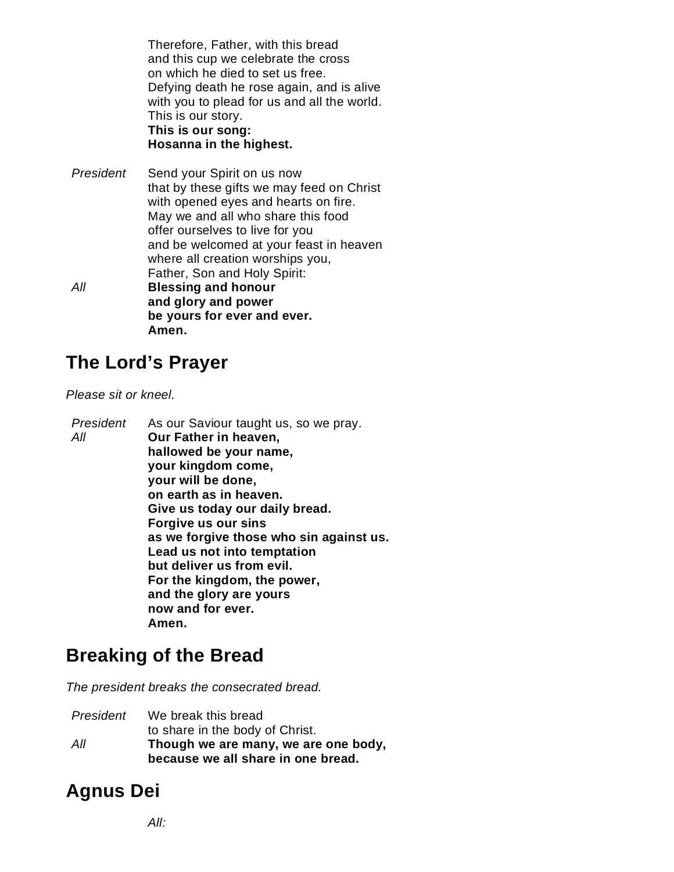Therefore, Father, with this bread and this cup we celebrate the cross on which he died to set us free. Defying death he rose again, and is alive with you to plead for us and all the world. This is our story. **This is our song: Hosanna in the highest.**

*President* Send your Spirit on us now that by these gifts we may feed on Christ with opened eyes and hearts on fire. May we and all who share this food offer ourselves to live for you and be welcomed at your feast in heaven where all creation worships you, Father, Son and Holy Spirit: *All* **Blessing and honour**

**and glory and power be yours for ever and ever. Amen.**

### **The Lord's Prayer**

*Please sit or kneel.*

*President* As our Saviour taught us, so we pray. *All* **Our Father in heaven, hallowed be your name, your kingdom come, your will be done, on earth as in heaven. Give us today our daily bread. Forgive us our sins as we forgive those who sin against us. Lead us not into temptation but deliver us from evil. For the kingdom, the power, and the glory are yours now and for ever. Amen.**

# **Breaking of the Bread**

*The president breaks the consecrated bread.*

| President | We break this bread                  |
|-----------|--------------------------------------|
|           | to share in the body of Christ.      |
| All       | Though we are many, we are one body, |
|           | because we all share in one bread.   |

# **Agnus Dei**

*All:*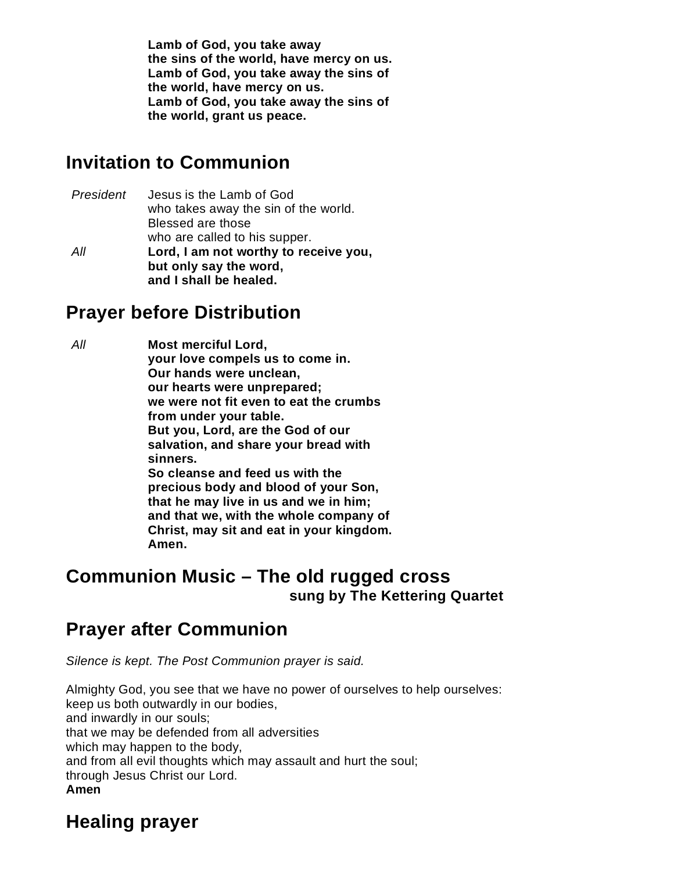**Lamb of God, you take away the sins of the world, have mercy on us. Lamb of God, you take away the sins of the world, have mercy on us. Lamb of God, you take away the sins of the world, grant us peace.**

#### **Invitation to Communion**

*President* Jesus is the Lamb of God who takes away the sin of the world. Blessed are those who are called to his supper. *All* **Lord, I am not worthy to receive you, but only say the word, and I shall be healed.**

#### **Prayer before Distribution**

*All* **Most merciful Lord, your love compels us to come in. Our hands were unclean, our hearts were unprepared; we were not fit even to eat the crumbs from under your table. But you, Lord, are the God of our salvation, and share your bread with sinners. So cleanse and feed us with the precious body and blood of your Son, that he may live in us and we in him; and that we, with the whole company of Christ, may sit and eat in your kingdom. Amen.**

#### **Communion Music – The old rugged cross sung by The Kettering Quartet**

### **Prayer after Communion**

*Silence is kept. The Post Communion prayer is said.*

Almighty God, you see that we have no power of ourselves to help ourselves: keep us both outwardly in our bodies, and inwardly in our souls; that we may be defended from all adversities which may happen to the body, and from all evil thoughts which may assault and hurt the soul; through Jesus Christ our Lord. **Amen**

# **Healing prayer**